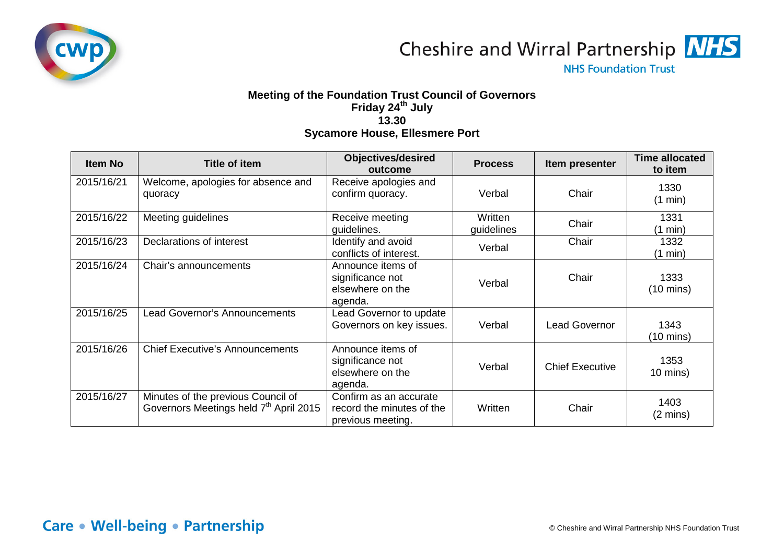

Cheshire and Wirral Partnership MHS

**NHS Foundation Trust** 

## **Meeting of the Foundation Trust Council of Governors Friday 24th July 13.30 Sycamore House, Ellesmere Port**

| <b>Item No</b> | <b>Title of item</b>                                                                     | <b>Objectives/desired</b><br>outcome                                     | <b>Process</b>        | Item presenter         | <b>Time allocated</b><br>to item |
|----------------|------------------------------------------------------------------------------------------|--------------------------------------------------------------------------|-----------------------|------------------------|----------------------------------|
| 2015/16/21     | Welcome, apologies for absence and<br>quoracy                                            | Receive apologies and<br>confirm quoracy.                                | Verbal                | Chair                  | 1330<br>(1 min)                  |
| 2015/16/22     | Meeting guidelines                                                                       | Receive meeting<br>guidelines.                                           | Written<br>guidelines | Chair                  | 1331<br>(1 min)                  |
| 2015/16/23     | Declarations of interest                                                                 | Identify and avoid<br>conflicts of interest.                             | Verbal                | Chair                  | 1332<br>$(1 \text{ min})$        |
| 2015/16/24     | Chair's announcements                                                                    | Announce items of<br>significance not<br>elsewhere on the<br>agenda.     | Verbal                | Chair                  | 1333<br>$(10 \text{ mins})$      |
| 2015/16/25     | Lead Governor's Announcements                                                            | Lead Governor to update<br>Governors on key issues.                      | Verbal                | <b>Lead Governor</b>   | 1343<br>$(10 \text{ mins})$      |
| 2015/16/26     | <b>Chief Executive's Announcements</b>                                                   | Announce items of<br>significance not<br>elsewhere on the<br>agenda.     | Verbal                | <b>Chief Executive</b> | 1353<br>$10 \text{ mins}$ )      |
| 2015/16/27     | Minutes of the previous Council of<br>Governors Meetings held 7 <sup>th</sup> April 2015 | Confirm as an accurate<br>record the minutes of the<br>previous meeting. | Written               | Chair                  | 1403<br>$(2 \text{ mins})$       |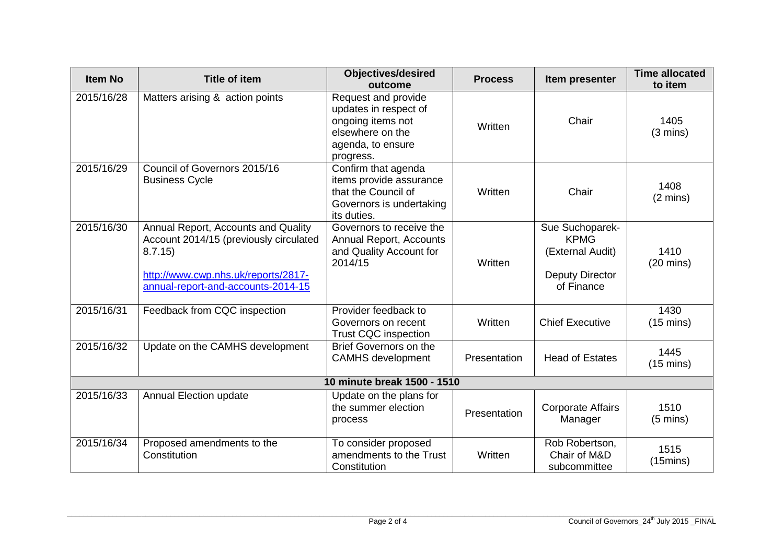| <b>Item No</b>              | <b>Title of item</b>                                                                                                                                                 | <b>Objectives/desired</b><br>outcome                                                                                    | <b>Process</b> | Item presenter                                                                             | <b>Time allocated</b><br>to item |  |
|-----------------------------|----------------------------------------------------------------------------------------------------------------------------------------------------------------------|-------------------------------------------------------------------------------------------------------------------------|----------------|--------------------------------------------------------------------------------------------|----------------------------------|--|
| 2015/16/28                  | Matters arising & action points                                                                                                                                      | Request and provide<br>updates in respect of<br>ongoing items not<br>elsewhere on the<br>agenda, to ensure<br>progress. | Written        | Chair                                                                                      | 1405<br>$(3 \text{ mins})$       |  |
| 2015/16/29                  | Council of Governors 2015/16<br><b>Business Cycle</b>                                                                                                                | Confirm that agenda<br>items provide assurance<br>that the Council of<br>Governors is undertaking<br>its duties.        | Written        | Chair                                                                                      | 1408<br>$(2 \text{ mins})$       |  |
| 2015/16/30                  | Annual Report, Accounts and Quality<br>Account 2014/15 (previously circulated<br>8.7.15<br>http://www.cwp.nhs.uk/reports/2817-<br>annual-report-and-accounts-2014-15 | Governors to receive the<br>Annual Report, Accounts<br>and Quality Account for<br>2014/15                               | Written        | Sue Suchoparek-<br><b>KPMG</b><br>(External Audit)<br><b>Deputy Director</b><br>of Finance | 1410<br>$(20 \text{ mins})$      |  |
| 2015/16/31                  | Feedback from CQC inspection                                                                                                                                         | Provider feedback to<br>Governors on recent<br><b>Trust CQC inspection</b>                                              | Written        | <b>Chief Executive</b>                                                                     | 1430<br>$(15 \text{ mins})$      |  |
| 2015/16/32                  | Update on the CAMHS development                                                                                                                                      | Brief Governors on the<br><b>CAMHS</b> development                                                                      | Presentation   | <b>Head of Estates</b>                                                                     | 1445<br>$(15 \text{ mins})$      |  |
| 10 minute break 1500 - 1510 |                                                                                                                                                                      |                                                                                                                         |                |                                                                                            |                                  |  |
| 2015/16/33                  | <b>Annual Election update</b>                                                                                                                                        | Update on the plans for<br>the summer election<br>process                                                               | Presentation   | <b>Corporate Affairs</b><br>Manager                                                        | 1510<br>$(5 \text{ mins})$       |  |
| 2015/16/34                  | Proposed amendments to the<br>Constitution                                                                                                                           | To consider proposed<br>amendments to the Trust<br>Constitution                                                         | Written        | Rob Robertson,<br>Chair of M&D<br>subcommittee                                             | 1515<br>$(15 \text{mins})$       |  |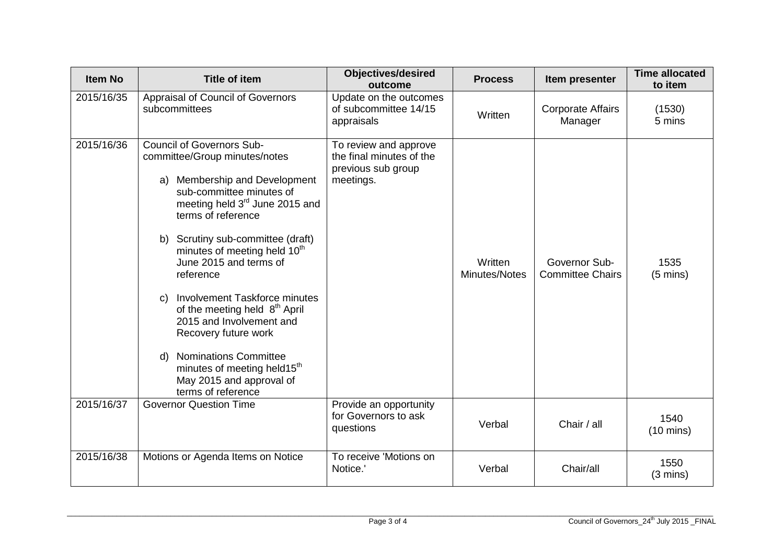| <b>Item No</b> | <b>Title of item</b>                                                                                                                                                                                                                                                                                                                                                                                                                                                                                                                                                                           | <b>Objectives/desired</b><br>outcome                                                 | <b>Process</b>           | Item presenter                           | <b>Time allocated</b><br>to item |
|----------------|------------------------------------------------------------------------------------------------------------------------------------------------------------------------------------------------------------------------------------------------------------------------------------------------------------------------------------------------------------------------------------------------------------------------------------------------------------------------------------------------------------------------------------------------------------------------------------------------|--------------------------------------------------------------------------------------|--------------------------|------------------------------------------|----------------------------------|
| 2015/16/35     | Appraisal of Council of Governors<br>subcommittees                                                                                                                                                                                                                                                                                                                                                                                                                                                                                                                                             | Update on the outcomes<br>of subcommittee 14/15<br>appraisals                        | Written                  | <b>Corporate Affairs</b><br>Manager      | (1530)<br>5 mins                 |
| 2015/16/36     | <b>Council of Governors Sub-</b><br>committee/Group minutes/notes<br>Membership and Development<br>a)<br>sub-committee minutes of<br>meeting held 3 <sup>rd</sup> June 2015 and<br>terms of reference<br>b) Scrutiny sub-committee (draft)<br>minutes of meeting held 10 <sup>th</sup><br>June 2015 and terms of<br>reference<br>Involvement Taskforce minutes<br>C)<br>of the meeting held 8 <sup>th</sup> April<br>2015 and Involvement and<br>Recovery future work<br>d) Nominations Committee<br>minutes of meeting held15 <sup>th</sup><br>May 2015 and approval of<br>terms of reference | To review and approve<br>the final minutes of the<br>previous sub group<br>meetings. | Written<br>Minutes/Notes | Governor Sub-<br><b>Committee Chairs</b> | 1535<br>$(5 \text{ mins})$       |
| 2015/16/37     | <b>Governor Question Time</b>                                                                                                                                                                                                                                                                                                                                                                                                                                                                                                                                                                  | Provide an opportunity<br>for Governors to ask<br>questions                          | Verbal                   | Chair / all                              | 1540<br>$(10 \text{ mins})$      |
| 2015/16/38     | Motions or Agenda Items on Notice                                                                                                                                                                                                                                                                                                                                                                                                                                                                                                                                                              | To receive 'Motions on<br>Notice.'                                                   | Verbal                   | Chair/all                                | 1550<br>$(3 \text{ mins})$       |